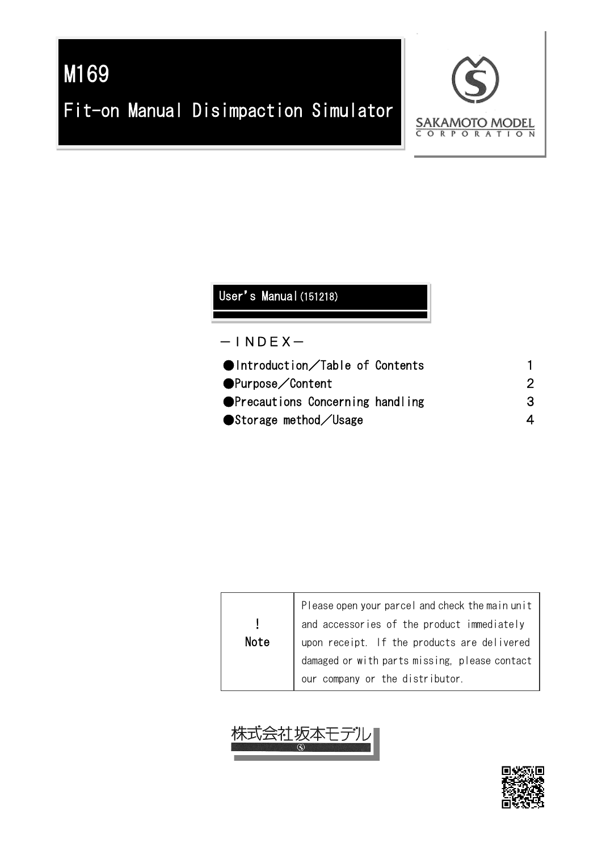# M169 Fit-on Manual Disimpaction Simulator



## User's Manual (151218)

#### $-$ INDEX $-$

| З |
|---|
|   |
|   |

| <b>Note</b> | Please open your parcel and check the main unit<br>and accessories of the product immediately<br>upon receipt. If the products are delivered |
|-------------|----------------------------------------------------------------------------------------------------------------------------------------------|
|             |                                                                                                                                              |
|             | damaged or with parts missing, please contact                                                                                                |
|             | our company or the distributor.                                                                                                              |



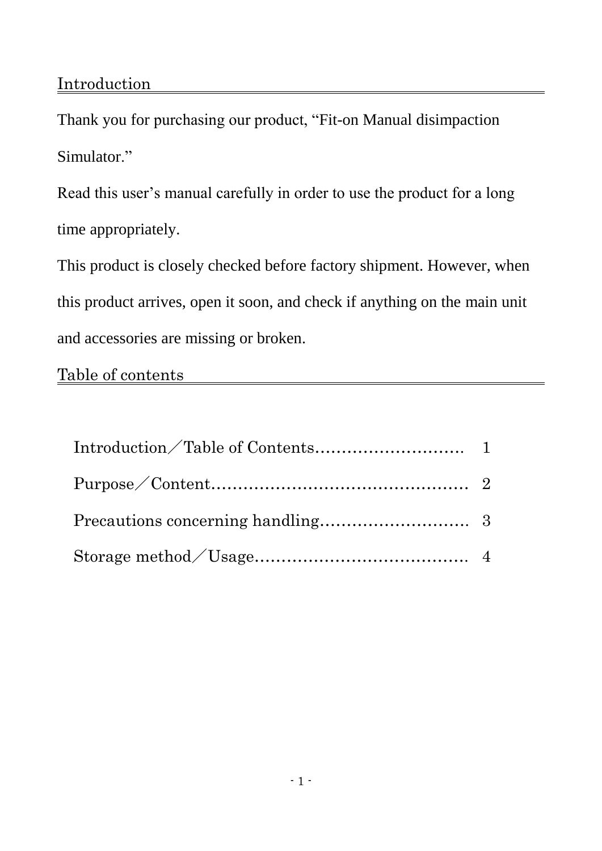Thank you for purchasing our product, "Fit-on Manual disimpaction Simulator."

Read this user's manual carefully in order to use the product for a long time appropriately.

This product is closely checked before factory shipment. However, when this product arrives, open it soon, and check if anything on the main unit and accessories are missing or broken.

### Table of contents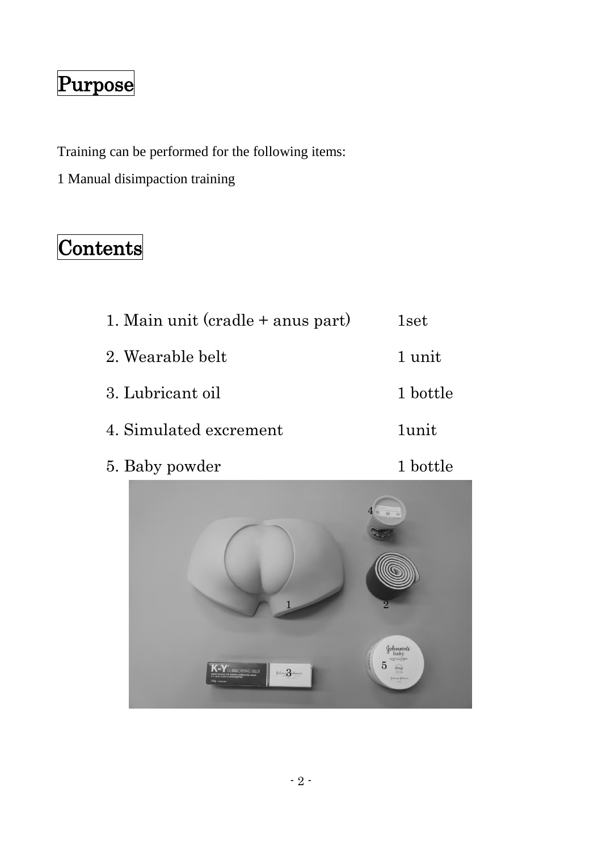# Purpose

Training can be performed for the following items:

1 Manual disimpaction training

## Contents

| 1. Main unit $(cradle + anus part)$ | 1set     |
|-------------------------------------|----------|
| 2. Wearable belt                    | 1 unit   |
| 3. Lubricant oil                    | 1 bottle |
| 4. Simulated excrement              | 1unit.   |

5. Baby powder 1 bottle



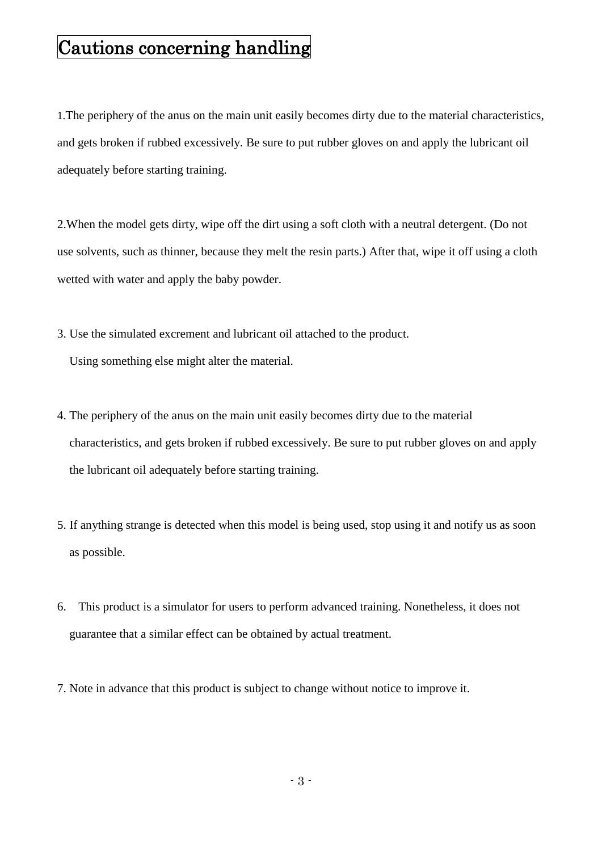## Cautions concerning handling

1.The periphery of the anus on the main unit easily becomes dirty due to the material characteristics, and gets broken if rubbed excessively. Be sure to put rubber gloves on and apply the lubricant oil adequately before starting training.

2.When the model gets dirty, wipe off the dirt using a soft cloth with a neutral detergent. (Do not use solvents, such as thinner, because they melt the resin parts.) After that, wipe it off using a cloth wetted with water and apply the baby powder.

3. Use the simulated excrement and lubricant oil attached to the product.

Using something else might alter the material.

- 4. The periphery of the anus on the main unit easily becomes dirty due to the material characteristics, and gets broken if rubbed excessively. Be sure to put rubber gloves on and apply the lubricant oil adequately before starting training.
- 5. If anything strange is detected when this model is being used, stop using it and notify us as soon as possible.
- 6. This product is a simulator for users to perform advanced training. Nonetheless, it does not guarantee that a similar effect can be obtained by actual treatment.
- 7. Note in advance that this product is subject to change without notice to improve it.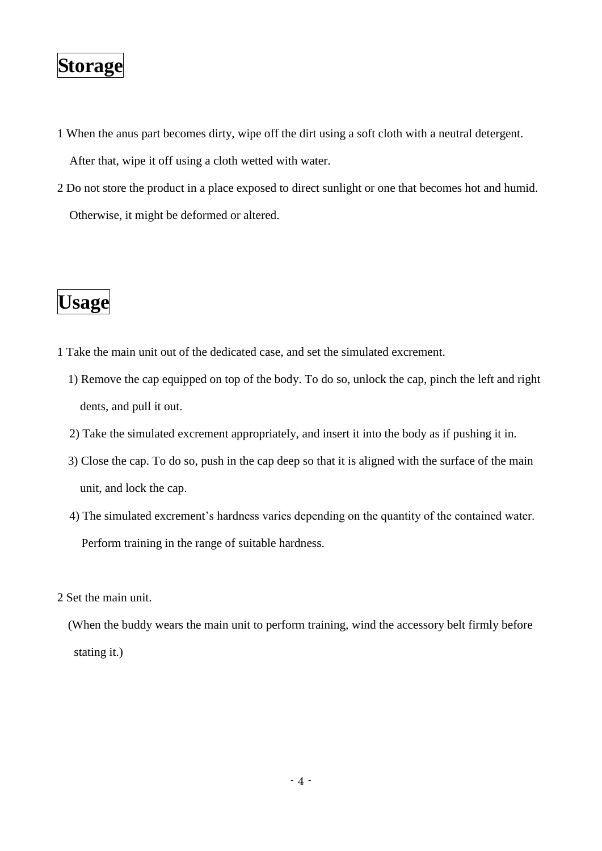## **Storage**

1 When the anus part becomes dirty, wipe off the dirt using a soft cloth with a neutral detergent.

After that, wipe it off using a cloth wetted with water.

2 Do not store the product in a place exposed to direct sunlight or one that becomes hot and humid. Otherwise, it might be deformed or altered.

## **Usage**

- 1 Take the main unit out of the dedicated case, and set the simulated excrement.
	- 1) Remove the cap equipped on top of the body. To do so, unlock the cap, pinch the left and right dents, and pull it out.
	- 2) Take the simulated excrement appropriately, and insert it into the body as if pushing it in.
	- 3) Close the cap. To do so, push in the cap deep so that it is aligned with the surface of the main unit, and lock the cap.
	- 4) The simulated excrement's hardness varies depending on the quantity of the contained water. Perform training in the range of suitable hardness.

2 Set the main unit.

(When the buddy wears the main unit to perform training, wind the accessory belt firmly before stating it.)